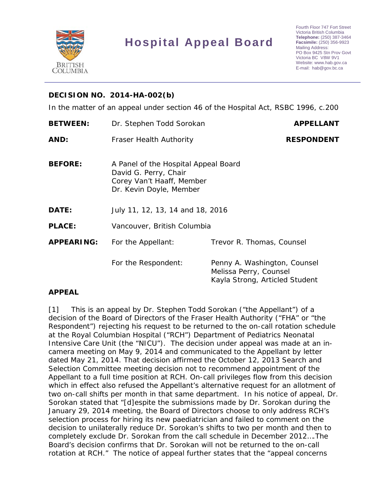

# **Hospital Appeal Board**

## **DECISION NO. 2014-HA-002(b)**

In the matter of an appeal under section 46 of the *Hospital Act,* RSBC 1996, c.200

| <b>BETWEEN:</b>   | Dr. Stephen Todd Sorokan                                                                                              | <b>APPELLANT</b>                                                                         |
|-------------------|-----------------------------------------------------------------------------------------------------------------------|------------------------------------------------------------------------------------------|
| AND:              | <b>Fraser Health Authority</b>                                                                                        | <b>RESPONDENT</b>                                                                        |
| <b>BEFORE:</b>    | A Panel of the Hospital Appeal Board<br>David G. Perry, Chair<br>Corey Van't Haaff, Member<br>Dr. Kevin Doyle, Member |                                                                                          |
| DATE:             | July 11, 12, 13, 14 and 18, 2016                                                                                      |                                                                                          |
| <b>PLACE:</b>     | Vancouver, British Columbia                                                                                           |                                                                                          |
| <b>APPEARING:</b> | For the Appellant:                                                                                                    | Trevor R. Thomas, Counsel                                                                |
|                   | For the Respondent:                                                                                                   | Penny A. Washington, Counsel<br>Melissa Perry, Counsel<br>Kayla Strong, Articled Student |

## **APPEAL**

[1] This is an appeal by Dr. Stephen Todd Sorokan ("the Appellant") of a decision of the Board of Directors of the Fraser Health Authority ("FHA" or "the Respondent") rejecting his request to be returned to the on-call rotation schedule at the Royal Columbian Hospital ("RCH") Department of Pediatrics Neonatal Intensive Care Unit (the "NICU"). The decision under appeal was made at an incamera meeting on May 9, 2014 and communicated to the Appellant by letter dated May 21, 2014. That decision affirmed the October 12, 2013 Search and Selection Committee meeting decision not to recommend appointment of the Appellant to a full time position at RCH. On-call privileges flow from this decision which in effect also refused the Appellant's alternative request for an allotment of two on-call shifts per month in that same department. In his notice of appeal, Dr. Sorokan stated that "[d]espite the submissions made by Dr. Sorokan during the January 29, 2014 meeting, the Board of Directors choose to only address RCH's selection process for hiring its new paediatrician and failed to comment on the decision to unilaterally reduce Dr. Sorokan's shifts to two per month and then to completely exclude Dr. Sorokan from the call schedule in December 2012….The Board's decision confirms that Dr. Sorokan will not be returned to the on-call rotation at RCH." The notice of appeal further states that the "appeal concerns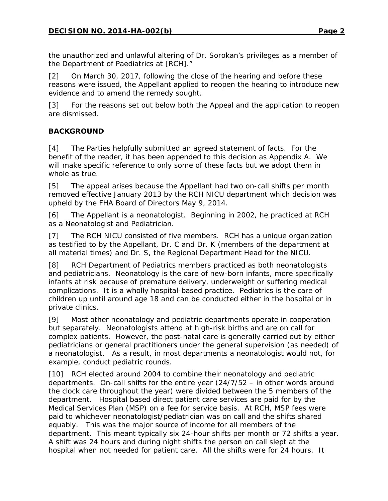the unauthorized and unlawful altering of Dr. Sorokan's privileges as a member of the Department of Paediatrics at [RCH]."

[2] On March 30, 2017, following the close of the hearing and before these reasons were issued, the Appellant applied to reopen the hearing to introduce new evidence and to amend the remedy sought.

[3] For the reasons set out below both the Appeal and the application to reopen are dismissed.

# **BACKGROUND**

[4] The Parties helpfully submitted an agreed statement of facts. For the benefit of the reader, it has been appended to this decision as Appendix A. We will make specific reference to only some of these facts but we adopt them in whole as true.

[5] The appeal arises because the Appellant had two on-call shifts per month removed effective January 2013 by the RCH NICU department which decision was upheld by the FHA Board of Directors May 9, 2014.

[6] The Appellant is a neonatologist. Beginning in 2002, he practiced at RCH as a Neonatologist and Pediatrician.

[7] The RCH NICU consisted of five members. RCH has a unique organization as testified to by the Appellant, Dr. C and Dr. K (members of the department at all material times) and Dr. S, the Regional Department Head for the NICU.

[8] RCH Department of Pediatrics members practiced as both neonatologists and pediatricians. Neonatology is the care of new-born infants, more specifically infants at risk because of premature delivery, underweight or suffering medical complications. It is a wholly hospital-based practice. Pediatrics is the care of children up until around age 18 and can be conducted either in the hospital or in private clinics.

[9] Most other neonatology and pediatric departments operate in cooperation but separately. Neonatologists attend at high-risk births and are on call for complex patients. However, the post-natal care is generally carried out by either pediatricians or general practitioners under the general supervision (as needed) of a neonatologist. As a result, in most departments a neonatologist would not, for example, conduct pediatric rounds.

[10] RCH elected around 2004 to combine their neonatology and pediatric departments. On-call shifts for the entire year (24/7/52 – in other words around the clock care throughout the year) were divided between the 5 members of the department. Hospital based direct patient care services are paid for by the Medical Services Plan (MSP) on a fee for service basis. At RCH, MSP fees were paid to whichever neonatologist/pediatrician was on call and the shifts shared equably. This was the major source of income for all members of the department. This meant typically six 24-hour shifts per month or 72 shifts a year. A shift was 24 hours and during night shifts the person on call slept at the hospital when not needed for patient care. All the shifts were for 24 hours. It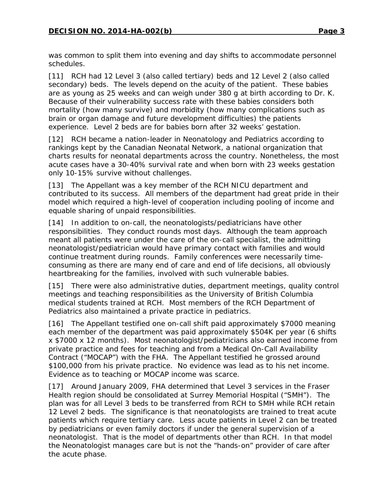was common to split them into evening and day shifts to accommodate personnel schedules.

[11] RCH had 12 Level 3 (also called tertiary) beds and 12 Level 2 (also called secondary) beds. The levels depend on the acuity of the patient. These babies are as young as 25 weeks and can weigh under 380 g at birth according to Dr. K. Because of their vulnerability success rate with these babies considers both mortality (how many survive) and morbidity (how many complications such as brain or organ damage and future development difficulties) the patients experience. Level 2 beds are for babies born after 32 weeks' gestation.

[12] RCH became a nation-leader in Neonatology and Pediatrics according to rankings kept by the Canadian Neonatal Network, a national organization that charts results for neonatal departments across the country. Nonetheless, the most acute cases have a 30-40% survival rate and when born with 23 weeks gestation only 10-15% survive without challenges.

[13] The Appellant was a key member of the RCH NICU department and contributed to its success. All members of the department had great pride in their model which required a high-level of cooperation including pooling of income and equable sharing of unpaid responsibilities.

[14] In addition to on-call, the neonatologists/pediatricians have other responsibilities. They conduct rounds most days. Although the team approach meant all patients were under the care of the on-call specialist, the admitting neonatologist/pediatrician would have primary contact with families and would continue treatment during rounds. Family conferences were necessarily timeconsuming as there are many end of care and end of life decisions, all obviously heartbreaking for the families, involved with such vulnerable babies.

[15] There were also administrative duties, department meetings, quality control meetings and teaching responsibilities as the University of British Columbia medical students trained at RCH. Most members of the RCH Department of Pediatrics also maintained a private practice in pediatrics.

[16] The Appellant testified one on-call shift paid approximately \$7000 meaning each member of the department was paid approximately \$504K per year (6 shifts x \$7000 x 12 months). Most neonatologist/pediatricians also earned income from private practice and fees for teaching and from a Medical On-Call Availability Contract ("MOCAP") with the FHA. The Appellant testified he grossed around \$100,000 from his private practice. No evidence was lead as to his net income. Evidence as to teaching or MOCAP income was scarce.

[17] Around January 2009, FHA determined that Level 3 services in the Fraser Health region should be consolidated at Surrey Memorial Hospital ("SMH"). The plan was for all Level 3 beds to be transferred from RCH to SMH while RCH retain 12 Level 2 beds. The significance is that neonatologists are trained to treat acute patients which require tertiary care. Less acute patients in Level 2 can be treated by pediatricians or even family doctors if under the general supervision of a neonatologist. That is the model of departments other than RCH. In that model the Neonatologist manages care but is not the "hands-on" provider of care after the acute phase.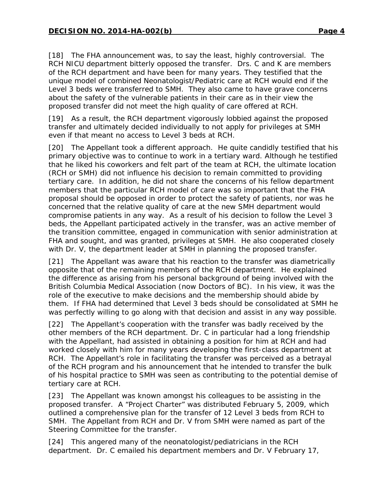[18] The FHA announcement was, to say the least, highly controversial. The RCH NICU department bitterly opposed the transfer. Drs. C and K are members of the RCH department and have been for many years. They testified that the unique model of combined Neonatologist/Pediatric care at RCH would end if the Level 3 beds were transferred to SMH. They also came to have grave concerns about the safety of the vulnerable patients in their care as in their view the proposed transfer did not meet the high quality of care offered at RCH.

[19] As a result, the RCH department vigorously lobbied against the proposed transfer and ultimately decided individually to not apply for privileges at SMH even if that meant no access to Level 3 beds at RCH.

[20] The Appellant took a different approach. He quite candidly testified that his primary objective was to continue to work in a tertiary ward. Although he testified that he liked his coworkers and felt part of the team at RCH, the ultimate location (RCH or SMH) did not influence his decision to remain committed to providing tertiary care. In addition, he did not share the concerns of his fellow department members that the particular RCH model of care was so important that the FHA proposal should be opposed in order to protect the safety of patients, nor was he concerned that the relative quality of care at the new SMH department would compromise patients in any way. As a result of his decision to follow the Level 3 beds, the Appellant participated actively in the transfer, was an active member of the transition committee, engaged in communication with senior administration at FHA and sought, and was granted, privileges at SMH. He also cooperated closely with Dr. V, the department leader at SMH in planning the proposed transfer.

[21] The Appellant was aware that his reaction to the transfer was diametrically opposite that of the remaining members of the RCH department. He explained the difference as arising from his personal background of being involved with the British Columbia Medical Association (now Doctors of BC). In his view, it was the role of the executive to make decisions and the membership should abide by them. If FHA had determined that Level 3 beds should be consolidated at SMH he was perfectly willing to go along with that decision and assist in any way possible.

[22] The Appellant's cooperation with the transfer was badly received by the other members of the RCH department. Dr. C in particular had a long friendship with the Appellant, had assisted in obtaining a position for him at RCH and had worked closely with him for many years developing the first-class department at RCH. The Appellant's role in facilitating the transfer was perceived as a betrayal of the RCH program and his announcement that he intended to transfer the bulk of his hospital practice to SMH was seen as contributing to the potential demise of tertiary care at RCH.

[23] The Appellant was known amongst his colleagues to be assisting in the proposed transfer. A "Project Charter" was distributed February 5, 2009, which outlined a comprehensive plan for the transfer of 12 Level 3 beds from RCH to SMH. The Appellant from RCH and Dr. V from SMH were named as part of the Steering Committee for the transfer.

[24] This angered many of the neonatologist/pediatricians in the RCH department. Dr. C emailed his department members and Dr. V February 17,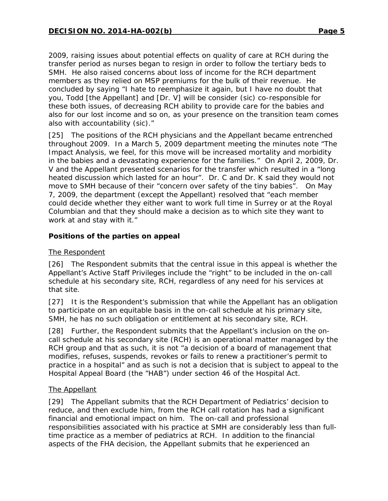2009, raising issues about potential effects on quality of care at RCH during the transfer period as nurses began to resign in order to follow the tertiary beds to SMH. He also raised concerns about loss of income for the RCH department members as they relied on MSP premiums for the bulk of their revenue. He concluded by saying "I hate to reemphasize it again, but I have no doubt that you, Todd [the Appellant] and [Dr. V] will be consider (sic) co-responsible for these both issues, of decreasing RCH ability to provide care for the babies and also for our lost income and so on, as your presence on the transition team comes also with accountability (sic)."

[25] The positions of the RCH physicians and the Appellant became entrenched throughout 2009. In a March 5, 2009 department meeting the minutes note "The Impact Analysis, we feel, for this move will be increased mortality and morbidity in the babies and a devastating experience for the families." On April 2, 2009, Dr. V and the Appellant presented scenarios for the transfer which resulted in a "long heated discussion which lasted for an hour". Dr. C and Dr. K said they would not move to SMH because of their "concern over safety of the tiny babies". On May 7, 2009, the department (except the Appellant) resolved that "each member could decide whether they either want to work full time in Surrey or at the Royal Columbian and that they should make a decision as to which site they want to work at and stay with it."

# **Positions of the parties on appeal**

## The Respondent

[26] The Respondent submits that the central issue in this appeal is whether the Appellant's Active Staff Privileges include the "right" to be included in the on-call schedule at his secondary site, RCH, regardless of any need for his services at that site.

[27] It is the Respondent's submission that while the Appellant has an obligation to participate on an equitable basis in the on-call schedule at his primary site, SMH, he has no such obligation or entitlement at his secondary site, RCH.

[28] Further, the Respondent submits that the Appellant's inclusion on the oncall schedule at his secondary site (RCH) is an operational matter managed by the RCH group and that as such, it is not "a decision of a board of management that modifies, refuses, suspends, revokes or fails to renew a practitioner's permit to practice in a hospital" and as such is not a decision that is subject to appeal to the Hospital Appeal Board (the "HAB") under section 46 of the *Hospital Act*.

## The Appellant

[29] The Appellant submits that the RCH Department of Pediatrics' decision to reduce, and then exclude him, from the RCH call rotation has had a significant financial and emotional impact on him. The on-call and professional responsibilities associated with his practice at SMH are considerably less than fulltime practice as a member of pediatrics at RCH. In addition to the financial aspects of the FHA decision, the Appellant submits that he experienced an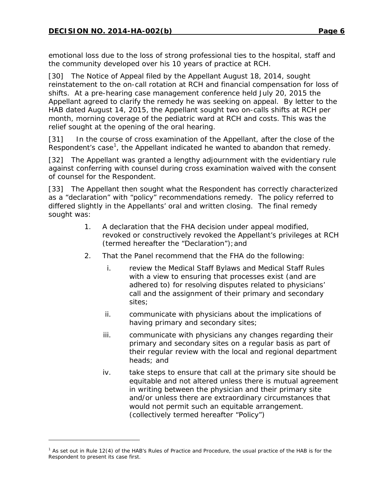l

emotional loss due to the loss of strong professional ties to the hospital, staff and the community developed over his 10 years of practice at RCH.

[30] The Notice of Appeal filed by the Appellant August 18, 2014, sought reinstatement to the on-call rotation at RCH and financial compensation for loss of shifts. At a pre-hearing case management conference held July 20, 2015 the Appellant agreed to clarify the remedy he was seeking on appeal. By letter to the HAB dated August 14, 2015, the Appellant sought two on-calls shifts at RCH per month, morning coverage of the pediatric ward at RCH and costs. This was the relief sought at the opening of the oral hearing.

[31] In the course of cross examination of the Appellant, after the close of the Respondent's case<sup>[1](#page-5-0)</sup>, the Appellant indicated he wanted to abandon that remedy.

[32] The Appellant was granted a lengthy adjournment with the evidentiary rule against conferring with counsel during cross examination waived with the consent of counsel for the Respondent.

[33] The Appellant then sought what the Respondent has correctly characterized as a "declaration" with "policy" recommendations remedy. The policy referred to differed slightly in the Appellants' oral and written closing. The final remedy sought was:

- 1. A declaration that the FHA decision under appeal modified, revoked or constructively revoked the Appellant's privileges at RCH (termed hereafter the "Declaration");and
- 2. That the Panel recommend that the FHA do the following:
	- i. review the Medical Staff Bylaws and Medical Staff Rules with a view to ensuring that processes exist (and are adhered to) for resolving disputes related to physicians' call and the assignment of their primary and secondary sites;
	- ii. communicate with physicians about the implications of having primary and secondary sites;
	- iii. communicate with physicians any changes regarding their primary and secondary sites on a regular basis as part of their regular review with the local and regional department heads; and
	- iv. take steps to ensure that call at the primary site should be equitable and not altered unless there is mutual agreement in writing between the physician and their primary site and/or unless there are extraordinary circumstances that would not permit such an equitable arrangement. (collectively termed hereafter "Policy")

<span id="page-5-0"></span><sup>&</sup>lt;sup>1</sup> As set out in Rule 12(4) of the HAB's Rules of Practice and Procedure, the usual practice of the HAB is for the Respondent to present its case first.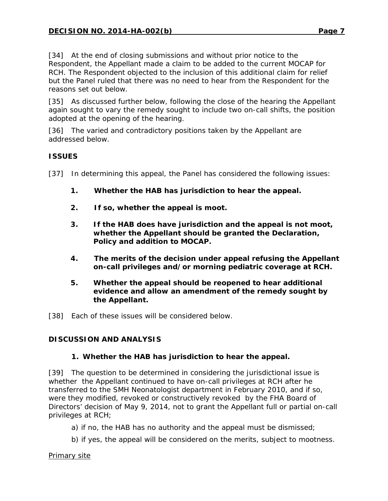[34] At the end of closing submissions and without prior notice to the Respondent, the Appellant made a claim to be added to the current MOCAP for RCH. The Respondent objected to the inclusion of this additional claim for relief but the Panel ruled that there was no need to hear from the Respondent for the reasons set out below.

[35] As discussed further below, following the close of the hearing the Appellant again sought to vary the remedy sought to include two on-call shifts, the position adopted at the opening of the hearing.

[36] The varied and contradictory positions taken by the Appellant are addressed below.

# **ISSUES**

[37] In determining this appeal, the Panel has considered the following issues:

- **1. Whether the HAB has jurisdiction to hear the appeal.**
- **2. If so, whether the appeal is moot.**
- **3. If the HAB does have jurisdiction and the appeal is not moot, whether the Appellant should be granted the Declaration, Policy and addition to MOCAP.**
- **4. The merits of the decision under appeal refusing the Appellant on-call privileges and/or morning pediatric coverage at RCH.**
- **5. Whether the appeal should be reopened to hear additional evidence and allow an amendment of the remedy sought by the Appellant.**
- [38] Each of these issues will be considered below.

## **DISCUSSION AND ANALYSIS**

## **1. Whether the HAB has jurisdiction to hear the appeal.**

[39] The question to be determined in considering the jurisdictional issue is whether the Appellant continued to have on-call privileges at RCH after he transferred to the SMH Neonatologist department in February 2010, and if so, were they modified, revoked or constructively revoked by the FHA Board of Directors' decision of May 9, 2014, not to grant the Appellant full or partial on-call privileges at RCH;

- a) if no, the HAB has no authority and the appeal must be dismissed;
- b) if yes, the appeal will be considered on the merits, subject to mootness.

*Primary site*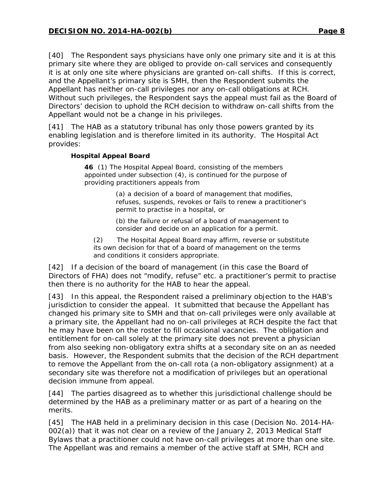[40] The Respondent says physicians have only one primary site and it is at this primary site where they are obliged to provide on-call services and consequently it is at only one site where physicians are granted on-call shifts. If this is correct, and the Appellant's primary site is SMH, then the Respondent submits the Appellant has neither on-call privileges nor any on-call obligations at RCH. Without such privileges, the Respondent says the appeal must fail as the Board of Directors' decision to uphold the RCH decision to withdraw on-call shifts from the Appellant would not be a change in his privileges.

[41] The HAB as a statutory tribunal has only those powers granted by its enabling legislation and is therefore limited in its authority. The *Hospital Act* provides:

## **Hospital Appeal Board**

**46** (1) The Hospital Appeal Board, consisting of the members appointed under subsection (4), is continued for the purpose of providing practitioners appeals from

> (a) a decision of a board of management that modifies, refuses, suspends, revokes or fails to renew a practitioner's permit to practise in a hospital, or

(b) the failure or refusal of a board of management to consider and decide on an application for a permit.

(2) The Hospital Appeal Board may affirm, reverse or substitute its own decision for that of a board of management on the terms and conditions it considers appropriate.

[42] If a decision of the board of management (in this case the Board of Directors of FHA) does not "modify, refuse" etc. a practitioner's permit to practise then there is no authority for the HAB to hear the appeal.

[43] In this appeal, the Respondent raised a preliminary objection to the HAB's jurisdiction to consider the appeal. It submitted that because the Appellant has changed his primary site to SMH and that on-call privileges were only available at a primary site, the Appellant had no on-call privileges at RCH despite the fact that he may have been on the roster to fill occasional vacancies. The obligation and entitlement for on-call solely at the primary site does not prevent a physician from also seeking non-obligatory extra shifts at a secondary site on an as needed basis. However, the Respondent submits that the decision of the RCH department to remove the Appellant from the on-call rota (a non-obligatory assignment) at a secondary site was therefore not a modification of privileges but an operational decision immune from appeal.

[44] The parties disagreed as to whether this jurisdictional challenge should be determined by the HAB as a preliminary matter or as part of a hearing on the merits.

[45] The HAB held in a preliminary decision in this case (Decision No. 2014-HA-002(a)) that it was not clear on a review of the January 2, 2013 Medical Staff Bylaws that a practitioner could not have on-call privileges at more than one site. The Appellant was and remains a member of the active staff at SMH, RCH and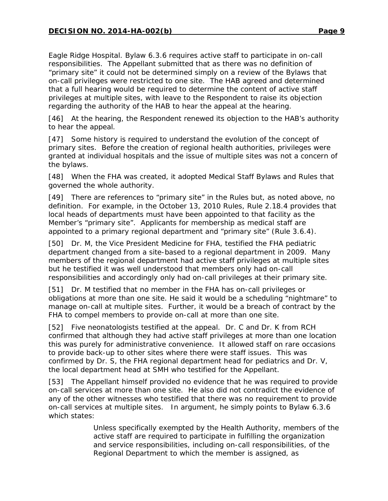Eagle Ridge Hospital. Bylaw 6.3.6 requires active staff to participate in on-call responsibilities. The Appellant submitted that as there was no definition of "primary site" it could not be determined simply on a review of the Bylaws that on-call privileges were restricted to one site. The HAB agreed and determined that a full hearing would be required to determine the content of active staff privileges at multiple sites, with leave to the Respondent to raise its objection regarding the authority of the HAB to hear the appeal at the hearing.

[46] At the hearing, the Respondent renewed its objection to the HAB's authority to hear the appeal.

[47] Some history is required to understand the evolution of the concept of primary sites. Before the creation of regional health authorities, privileges were granted at individual hospitals and the issue of multiple sites was not a concern of the bylaws.

[48] When the FHA was created, it adopted Medical Staff Bylaws and Rules that governed the whole authority.

[49] There are references to "primary site" in the Rules but, as noted above, no definition. For example, in the October 13, 2010 Rules, Rule 2.18.4 provides that local heads of departments must have been appointed to that facility as the Member's "primary site". Applicants for membership as medical staff are appointed to a primary regional department and "primary site" (Rule 3.6.4).

[50] Dr. M, the Vice President Medicine for FHA, testified the FHA pediatric department changed from a site-based to a regional department in 2009. Many members of the regional department had active staff privileges at multiple sites but he testified it was well understood that members only had on-call responsibilities and accordingly only had on-call privileges at their primary site.

[51] Dr. M testified that no member in the FHA has on-call privileges or obligations at more than one site. He said it would be a scheduling "nightmare" to manage on-call at multiple sites. Further, it would be a breach of contract by the FHA to compel members to provide on-call at more than one site.

[52] Five neonatologists testified at the appeal. Dr. C and Dr. K from RCH confirmed that although they had active staff privileges at more than one location this was purely for administrative convenience. It allowed staff on rare occasions to provide back-up to other sites where there were staff issues. This was confirmed by Dr. S, the FHA regional department head for pediatrics and Dr. V, the local department head at SMH who testified for the Appellant.

[53] The Appellant himself provided no evidence that he was required to provide on-call services at more than one site. He also did not contradict the evidence of any of the other witnesses who testified that there was no requirement to provide on-call services at multiple sites. In argument, he simply points to Bylaw 6.3.6 which states:

> Unless specifically exempted by the Health Authority, members of the active staff are required to participate in fulfilling the organization and service responsibilities, including on-call responsibilities, of the Regional Department to which the member is assigned, as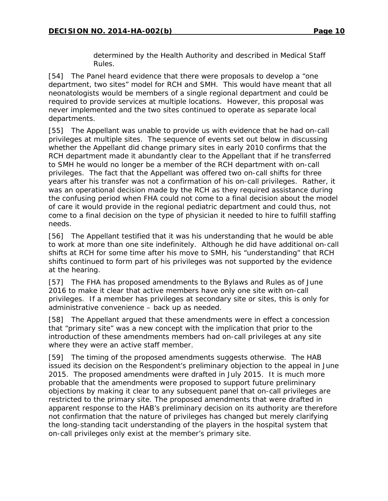determined by the Health Authority and described in Medical Staff Rules.

[54] The Panel heard evidence that there were proposals to develop a "one department, two sites" model for RCH and SMH. This would have meant that all neonatologists would be members of a single regional department and could be required to provide services at multiple locations. However, this proposal was never implemented and the two sites continued to operate as separate local departments.

[55] The Appellant was unable to provide us with evidence that he had on-call privileges at multiple sites. The sequence of events set out below in discussing whether the Appellant did change primary sites in early 2010 confirms that the RCH department made it abundantly clear to the Appellant that if he transferred to SMH he would no longer be a member of the RCH department with on-call privileges. The fact that the Appellant was offered two on-call shifts for three years after his transfer was not a confirmation of his on-call privileges. Rather, it was an operational decision made by the RCH as they required assistance during the confusing period when FHA could not come to a final decision about the model of care it would provide in the regional pediatric department and could thus, not come to a final decision on the type of physician it needed to hire to fulfill staffing needs.

[56] The Appellant testified that it was his understanding that he would be able to work at more than one site indefinitely. Although he did have additional on-call shifts at RCH for some time after his move to SMH, his "understanding" that RCH shifts continued to form part of his privileges was not supported by the evidence at the hearing.

[57] The FHA has proposed amendments to the Bylaws and Rules as of June 2016 to make it clear that active members have only one site with on-call privileges. If a member has privileges at secondary site or sites, this is only for administrative convenience – back up as needed.

[58] The Appellant argued that these amendments were in effect a concession that "primary site" was a new concept with the implication that prior to the introduction of these amendments members had on-call privileges at any site where they were an active staff member.

[59] The timing of the proposed amendments suggests otherwise. The HAB issued its decision on the Respondent's preliminary objection to the appeal in June 2015. The proposed amendments were drafted in July 2015. It is much more probable that the amendments were proposed to support future preliminary objections by making it clear to any subsequent panel that on-call privileges are restricted to the primary site. The proposed amendments that were drafted in apparent response to the HAB's preliminary decision on its authority are therefore not confirmation that the nature of privileges has changed but merely clarifying the long-standing tacit understanding of the players in the hospital system that on-call privileges only exist at the member's primary site.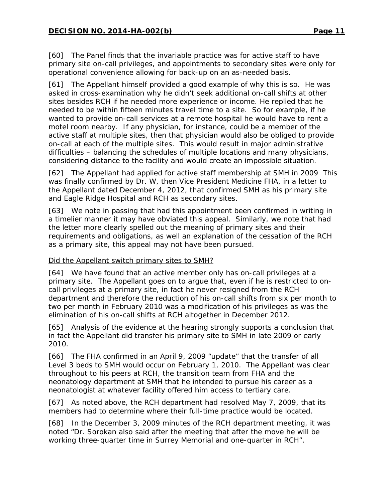[60] The Panel finds that the invariable practice was for active staff to have primary site on-call privileges, and appointments to secondary sites were only for operational convenience allowing for back-up on an as-needed basis.

[61] The Appellant himself provided a good example of why this is so. He was asked in cross-examination why he didn't seek additional on-call shifts at other sites besides RCH if he needed more experience or income. He replied that he needed to be within fifteen minutes travel time to a site. So for example, if he wanted to provide on-call services at a remote hospital he would have to rent a motel room nearby. If any physician, for instance, could be a member of the active staff at multiple sites, then that physician would also be obliged to provide on-call at each of the multiple sites. This would result in major administrative difficulties – balancing the schedules of multiple locations and many physicians, considering distance to the facility and would create an impossible situation.

[62] The Appellant had applied for active staff membership at SMH in 2009 This was finally confirmed by Dr. W, then Vice President Medicine FHA, in a letter to the Appellant dated December 4, 2012, that confirmed SMH as his primary site and Eagle Ridge Hospital and RCH as secondary sites.

[63] We note in passing that had this appointment been confirmed in writing in a timelier manner it may have obviated this appeal. Similarly, we note that had the letter more clearly spelled out the meaning of primary sites and their requirements and obligations, as well an explanation of the cessation of the RCH as a primary site, this appeal may not have been pursued.

## *Did the Appellant switch primary sites to SMH?*

[64] We have found that an active member only has on-call privileges at a primary site. The Appellant goes on to argue that, even if he is restricted to oncall privileges at a primary site, in fact he never resigned from the RCH department and therefore the reduction of his on-call shifts from six per month to two per month in February 2010 was a modification of his privileges as was the elimination of his on-call shifts at RCH altogether in December 2012.

[65] Analysis of the evidence at the hearing strongly supports a conclusion that in fact the Appellant did transfer his primary site to SMH in late 2009 or early 2010.

[66] The FHA confirmed in an April 9, 2009 "update" that the transfer of all Level 3 beds to SMH would occur on February 1, 2010. The Appellant was clear throughout to his peers at RCH, the transition team from FHA and the neonatology department at SMH that he intended to pursue his career as a neonatologist at whatever facility offered him access to tertiary care.

[67] As noted above, the RCH department had resolved May 7, 2009, that its members had to determine where their full-time practice would be located.

[68] In the December 3, 2009 minutes of the RCH department meeting, it was noted "Dr. Sorokan also said after the meeting that after the move he will be working three-quarter time in Surrey Memorial and one-quarter in RCH".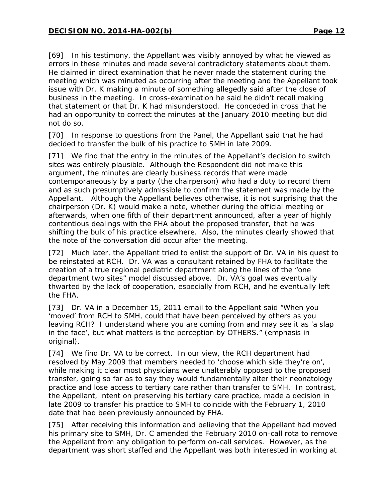[69] In his testimony, the Appellant was visibly annoyed by what he viewed as errors in these minutes and made several contradictory statements about them. He claimed in direct examination that he never made the statement during the meeting which was minuted as occurring after the meeting and the Appellant took issue with Dr. K making a minute of something allegedly said after the close of business in the meeting. In cross-examination he said he didn't recall making that statement or that Dr. K had misunderstood. He conceded in cross that he had an opportunity to correct the minutes at the January 2010 meeting but did not do so.

[70] In response to questions from the Panel, the Appellant said that he had decided to transfer the bulk of his practice to SMH in late 2009.

[71] We find that the entry in the minutes of the Appellant's decision to switch sites was entirely plausible. Although the Respondent did not make this argument, the minutes are clearly business records that were made contemporaneously by a party (the chairperson) who had a duty to record them and as such presumptively admissible to confirm the statement was made by the Appellant. Although the Appellant believes otherwise, it is not surprising that the chairperson (Dr. K) would make a note, whether during the official meeting or afterwards, when one fifth of their department announced, after a year of highly contentious dealings with the FHA about the proposed transfer, that he was shifting the bulk of his practice elsewhere. Also, the minutes clearly showed that the note of the conversation did occur after the meeting.

[72] Much later, the Appellant tried to enlist the support of Dr. VA in his quest to be reinstated at RCH. Dr. VA was a consultant retained by FHA to facilitate the creation of a true regional pediatric department along the lines of the "one department two sites" model discussed above. Dr. VA's goal was eventually thwarted by the lack of cooperation, especially from RCH, and he eventually left the FHA.

[73] Dr. VA in a December 15, 2011 email to the Appellant said "When you 'moved' from RCH to SMH, could that have been perceived by others as you leaving RCH? I understand where you are coming from and may see it as 'a slap in the face', but what matters is the perception by OTHERS." (emphasis in original).

[74] We find Dr. VA to be correct. In our view, the RCH department had resolved by May 2009 that members needed to 'choose which side they're on', while making it clear most physicians were unalterably opposed to the proposed transfer, going so far as to say they would fundamentally alter their neonatology practice and lose access to tertiary care rather than transfer to SMH. In contrast, the Appellant, intent on preserving his tertiary care practice, made a decision in late 2009 to transfer his practice to SMH to coincide with the February 1, 2010 date that had been previously announced by FHA.

[75] After receiving this information and believing that the Appellant had moved his primary site to SMH, Dr. C amended the February 2010 on-call rota to remove the Appellant from any obligation to perform on-call services. However, as the department was short staffed and the Appellant was both interested in working at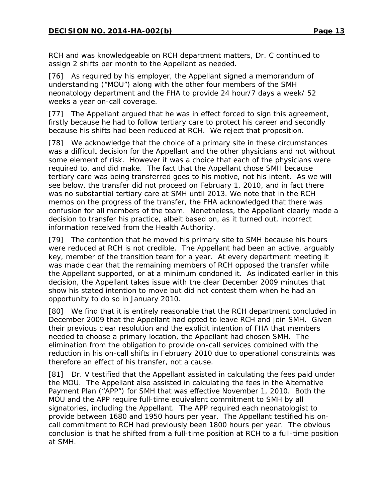RCH and was knowledgeable on RCH department matters, Dr. C continued to assign 2 shifts per month to the Appellant as needed.

[76] As required by his employer, the Appellant signed a memorandum of understanding ("MOU") along with the other four members of the SMH neonatology department and the FHA to provide 24 hour/7 days a week/ 52 weeks a year on-call coverage.

[77] The Appellant argued that he was in effect forced to sign this agreement, firstly because he had to follow tertiary care to protect his career and secondly because his shifts had been reduced at RCH. We reject that proposition.

[78] We acknowledge that the choice of a primary site in these circumstances was a difficult decision for the Appellant and the other physicians and not without some element of risk. However it was a choice that each of the physicians were required to, and did make. The fact that the Appellant chose SMH because tertiary care was being transferred goes to his motive, not his intent. As we will see below, the transfer did not proceed on February 1, 2010, and in fact there was no substantial tertiary care at SMH until 2013. We note that in the RCH memos on the progress of the transfer, the FHA acknowledged that there was confusion for all members of the team. Nonetheless, the Appellant clearly made a decision to transfer his practice, albeit based on, as it turned out, incorrect information received from the Health Authority.

[79] The contention that he moved his primary site to SMH because his hours were reduced at RCH is not credible. The Appellant had been an active, arguably key, member of the transition team for a year. At every department meeting it was made clear that the remaining members of RCH opposed the transfer while the Appellant supported, or at a minimum condoned it. As indicated earlier in this decision, the Appellant takes issue with the clear December 2009 minutes that show his stated intention to move but did not contest them when he had an opportunity to do so in January 2010.

[80] We find that it is entirely reasonable that the RCH department concluded in December 2009 that the Appellant had opted to leave RCH and join SMH. Given their previous clear resolution and the explicit intention of FHA that members needed to choose a primary location, the Appellant had chosen SMH. The elimination from the obligation to provide on-call services combined with the reduction in his on-call shifts in February 2010 due to operational constraints was therefore an effect of his transfer, not a cause.

[81] Dr. V testified that the Appellant assisted in calculating the fees paid under the MOU. The Appellant also assisted in calculating the fees in the Alternative Payment Plan ("APP") for SMH that was effective November 1, 2010. Both the MOU and the APP require full-time equivalent commitment to SMH by all signatories, including the Appellant. The APP required each neonatologist to provide between 1680 and 1950 hours per year. The Appellant testified his oncall commitment to RCH had previously been 1800 hours per year. The obvious conclusion is that he shifted from a full-time position at RCH to a full-time position at SMH.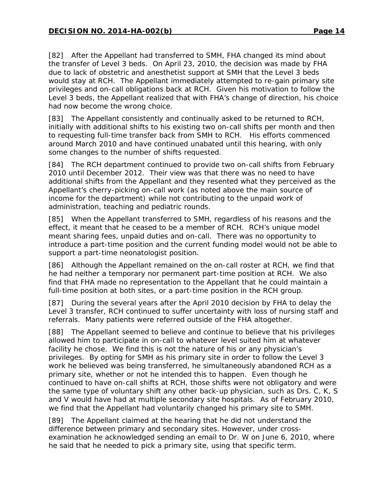[82] After the Appellant had transferred to SMH, FHA changed its mind about the transfer of Level 3 beds. On April 23, 2010, the decision was made by FHA due to lack of obstetric and anesthetist support at SMH that the Level 3 beds would stay at RCH. The Appellant immediately attempted to re-gain primary site privileges and on-call obligations back at RCH. Given his motivation to follow the Level 3 beds, the Appellant realized that with FHA's change of direction, his choice had now become the wrong choice.

[83] The Appellant consistently and continually asked to be returned to RCH, initially with additional shifts to his existing two on-call shifts per month and then to requesting full-time transfer back from SMH to RCH. His efforts commenced around March 2010 and have continued unabated until this hearing, with only some changes to the number of shifts requested.

[84] The RCH department continued to provide two on-call shifts from February 2010 until December 2012. Their view was that there was no need to have additional shifts from the Appellant and they resented what they perceived as the Appellant's cherry-picking on-call work (as noted above the main source of income for the department) while not contributing to the unpaid work of administration, teaching and pediatric rounds.

[85] When the Appellant transferred to SMH, regardless of his reasons and the effect, it meant that he ceased to be a member of RCH. RCH's unique model meant sharing fees, unpaid duties and on-call. There was no opportunity to introduce a part-time position and the current funding model would not be able to support a part-time neonatologist position.

[86] Although the Appellant remained on the on-call roster at RCH, we find that he had neither a temporary nor permanent part-time position at RCH. We also find that FHA made no representation to the Appellant that he could maintain a full-time position at both sites, or a part-time position in the RCH group.

[87] During the several years after the April 2010 decision by FHA to delay the Level 3 transfer, RCH continued to suffer uncertainty with loss of nursing staff and referrals. Many patients were referred outside of the FHA altogether.

[88] The Appellant seemed to believe and continue to believe that his privileges allowed him to participate in on-call to whatever level suited him at whatever facility he chose. We find this is not the nature of his or any physician's privileges. By opting for SMH as his primary site in order to follow the Level 3 work he believed was being transferred, he simultaneously abandoned RCH as a primary site, whether or not he intended this to happen. Even though he continued to have on-call shifts at RCH, those shifts were not obligatory and were the same type of voluntary shift any other back-up physician, such as Drs. C, K, S and V would have had at multiple secondary site hospitals. As of February 2010, we find that the Appellant had voluntarily changed his primary site to SMH.

[89] The Appellant claimed at the hearing that he did not understand the difference between primary and secondary sites. However, under crossexamination he acknowledged sending an email to Dr. W on June 6, 2010, where he said that he needed to pick a primary site, using that specific term.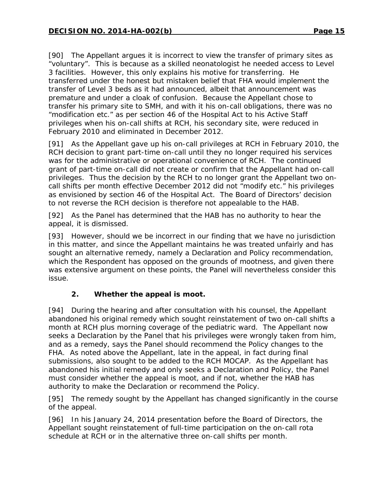[90] The Appellant argues it is incorrect to view the transfer of primary sites as "voluntary". This is because as a skilled neonatologist he needed access to Level 3 facilities. However, this only explains his motive for transferring. He transferred under the honest but mistaken belief that FHA would implement the transfer of Level 3 beds as it had announced, albeit that announcement was premature and under a cloak of confusion. Because the Appellant chose to transfer his primary site to SMH, and with it his on-call obligations, there was no "modification etc." as per section 46 of the *Hospital Act* to his Active Staff privileges when his on-call shifts at RCH, his secondary site, were reduced in February 2010 and eliminated in December 2012.

[91] As the Appellant gave up his on-call privileges at RCH in February 2010, the RCH decision to grant part-time on-call until they no longer required his services was for the administrative or operational convenience of RCH. The continued grant of part-time on-call did not create or confirm that the Appellant had on-call privileges. Thus the decision by the RCH to no longer grant the Appellant two oncall shifts per month effective December 2012 did not "modify etc." his privileges as envisioned by section 46 of the *Hospital Act*. The Board of Directors' decision to not reverse the RCH decision is therefore not appealable to the HAB.

[92] As the Panel has determined that the HAB has no authority to hear the appeal, it is dismissed.

[93] However, should we be incorrect in our finding that we have no jurisdiction in this matter, and since the Appellant maintains he was treated unfairly and has sought an alternative remedy, namely a Declaration and Policy recommendation, which the Respondent has opposed on the grounds of mootness, and given there was extensive argument on these points, the Panel will nevertheless consider this issue.

## **2. Whether the appeal is moot.**

[94] During the hearing and after consultation with his counsel, the Appellant abandoned his original remedy which sought reinstatement of two on-call shifts a month at RCH plus morning coverage of the pediatric ward. The Appellant now seeks a Declaration by the Panel that his privileges were wrongly taken from him, and as a remedy, says the Panel should recommend the Policy changes to the FHA. As noted above the Appellant, late in the appeal, in fact during final submissions, also sought to be added to the RCH MOCAP. As the Appellant has abandoned his initial remedy and only seeks a Declaration and Policy, the Panel must consider whether the appeal is moot, and if not, whether the HAB has authority to make the Declaration or recommend the Policy.

[95] The remedy sought by the Appellant has changed significantly in the course of the appeal.

[96] In his January 24, 2014 presentation before the Board of Directors, the Appellant sought reinstatement of full-time participation on the on-call rota schedule at RCH or in the alternative three on-call shifts per month.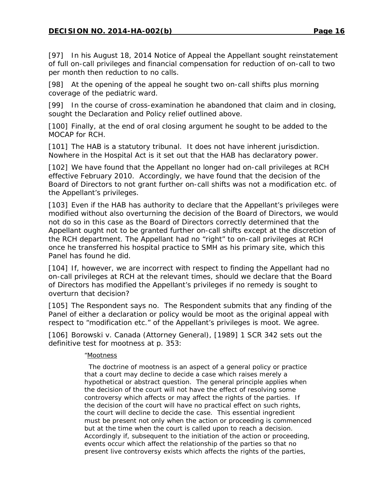[97] In his August 18, 2014 Notice of Appeal the Appellant sought reinstatement of full on-call privileges and financial compensation for reduction of on-call to two per month then reduction to no calls.

[98] At the opening of the appeal he sought two on-call shifts plus morning coverage of the pediatric ward.

[99] In the course of cross-examination he abandoned that claim and in closing, sought the Declaration and Policy relief outlined above.

[100] Finally, at the end of oral closing argument he sought to be added to the MOCAP for RCH.

[101] The HAB is a statutory tribunal. It does not have inherent jurisdiction. Nowhere in the *Hospital Act* is it set out that the HAB has declaratory power.

[102] We have found that the Appellant no longer had on-call privileges at RCH effective February 2010. Accordingly, we have found that the decision of the Board of Directors to not grant further on-call shifts was not a modification etc. of the Appellant's privileges.

[103] Even if the HAB has authority to declare that the Appellant's privileges were modified without also overturning the decision of the Board of Directors, we would not do so in this case as the Board of Directors correctly determined that the Appellant ought not to be granted further on-call shifts except at the discretion of the RCH department. The Appellant had no "right" to on-call privileges at RCH once he transferred his hospital practice to SMH as his primary site, which this Panel has found he did.

[104] If, however, we are incorrect with respect to finding the Appellant had no on-call privileges at RCH at the relevant times, should we declare that the Board of Directors has modified the Appellant's privileges if no remedy is sought to overturn that decision?

[105] The Respondent says no. The Respondent submits that any finding of the Panel of either a declaration or policy would be moot as the original appeal with respect to "modification etc." of the Appellant's privileges is moot. We agree.

[106] *Borowski v. Canada (Attorney General)*, [1989] 1 SCR 342 sets out the definitive test for mootness at p. 353:

#### "Mootness

 The doctrine of mootness is an aspect of a general policy or practice that a court may decline to decide a case which raises merely a hypothetical or abstract question. The general principle applies when the decision of the court will not have the effect of resolving some controversy which affects or may affect the rights of the parties. If the decision of the court will have no practical effect on such rights, the court will decline to decide the case. This essential ingredient must be present not only when the action or proceeding is commenced but at the time when the court is called upon to reach a decision. Accordingly if, subsequent to the initiation of the action or proceeding, events occur which affect the relationship of the parties so that no present live controversy exists which affects the rights of the parties,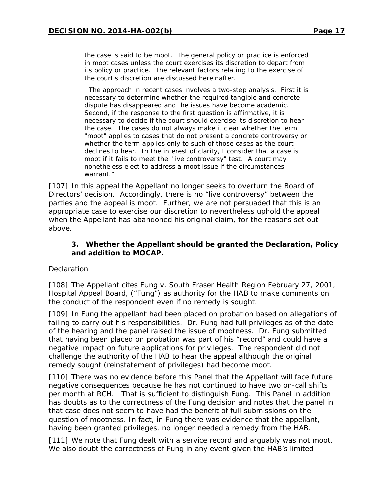the case is said to be moot. The general policy or practice is enforced in moot cases unless the court exercises its discretion to depart from its policy or practice. The relevant factors relating to the exercise of the court's discretion are discussed hereinafter.

 The approach in recent cases involves a two-step analysis. First it is necessary to determine whether the required tangible and concrete dispute has disappeared and the issues have become academic. Second, if the response to the first question is affirmative, it is necessary to decide if the court should exercise its discretion to hear the case. The cases do not always make it clear whether the term "moot" applies to cases that do not present a concrete controversy or whether the term applies only to such of those cases as the court declines to hear. In the interest of clarity, I consider that a case is moot if it fails to meet the "live controversy" test. A court may nonetheless elect to address a moot issue if the circumstances warrant."

[107] In this appeal the Appellant no longer seeks to overturn the Board of Directors' decision. Accordingly, there is no "live controversy" between the parties and the appeal is moot. Further, we are not persuaded that this is an appropriate case to exercise our discretion to nevertheless uphold the appeal when the Appellant has abandoned his original claim, for the reasons set out above.

#### **3. Whether the Appellant should be granted the Declaration, Policy and addition to MOCAP.**

#### *Declaration*

[108] The Appellant cites *Fung v. South Fraser Health Region* February 27, 2001, Hospital Appeal Board, ("*Fung")* as authority for the HAB to make comments on the conduct of the respondent even if no remedy is sought.

[109] In *Fung* the appellant had been placed on probation based on allegations of failing to carry out his responsibilities. Dr. Fung had full privileges as of the date of the hearing and the panel raised the issue of mootness. Dr. Fung submitted that having been placed on probation was part of his "record" and could have a negative impact on future applications for privileges. The respondent did not challenge the authority of the HAB to hear the appeal although the original remedy sought (reinstatement of privileges) had become moot.

[110] There was no evidence before this Panel that the Appellant will face future negative consequences because he has not continued to have two on-call shifts per month at RCH. That is sufficient to distinguish *Fung*. This Panel in addition has doubts as to the correctness of the *Fung* decision and notes that the panel in that case does not seem to have had the benefit of full submissions on the question of mootness. In fact, in *Fung* there was evidence that the appellant, having been granted privileges, no longer needed a remedy from the HAB.

[111] We note that *Fung* dealt with a service record and arguably was not moot. We also doubt the correctness of *Fung* in any event given the HAB's limited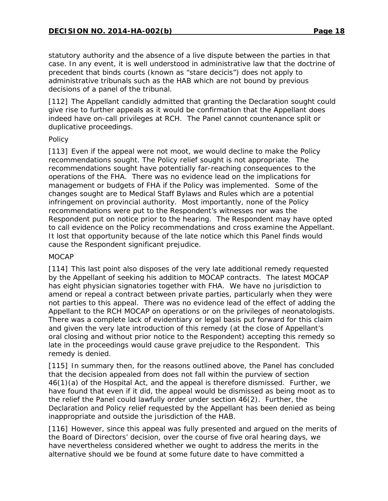statutory authority and the absence of a live dispute between the parties in that case. In any event, it is well understood in administrative law that the doctrine of precedent that binds courts (known as "*stare decicis*") does not apply to administrative tribunals such as the HAB which are not bound by previous decisions of a panel of the tribunal.

[112] The Appellant candidly admitted that granting the Declaration sought could give rise to further appeals as it would be confirmation that the Appellant does indeed have on-call privileges at RCH. The Panel cannot countenance split or duplicative proceedings.

#### *Policy*

[113] Even if the appeal were not moot, we would decline to make the Policy recommendations sought. The Policy relief sought is not appropriate. The recommendations sought have potentially far-reaching consequences to the operations of the FHA. There was no evidence lead on the implications for management or budgets of FHA if the Policy was implemented. Some of the changes sought are to Medical Staff Bylaws and Rules which are a potential infringement on provincial authority. Most importantly, none of the Policy recommendations were put to the Respondent's witnesses nor was the Respondent put on notice prior to the hearing. The Respondent may have opted to call evidence on the Policy recommendations and cross examine the Appellant. It lost that opportunity because of the late notice which this Panel finds would cause the Respondent significant prejudice.

#### *MOCAP*

[114] This last point also disposes of the very late additional remedy requested by the Appellant of seeking his addition to MOCAP contracts. The latest MOCAP has eight physician signatories together with FHA. We have no jurisdiction to amend or repeal a contract between private parties, particularly when they were not parties to this appeal. There was no evidence lead of the effect of adding the Appellant to the RCH MOCAP on operations or on the privileges of neonatologists. There was a complete lack of evidentiary or legal basis put forward for this claim and given the very late introduction of this remedy (at the close of Appellant's oral closing and without prior notice to the Respondent) accepting this remedy so late in the proceedings would cause grave prejudice to the Respondent. This remedy is denied.

[115] In summary then, for the reasons outlined above, the Panel has concluded that the decision appealed from does not fall within the purview of section 46(1)(a) of the *Hospital Act*, and the appeal is therefore dismissed. Further, we have found that even if it did, the appeal would be dismissed as being moot as to the relief the Panel could lawfully order under section 46(2). Further, the Declaration and Policy relief requested by the Appellant has been denied as being inappropriate and outside the jurisdiction of the HAB.

[116] However, since this appeal was fully presented and argued on the merits of the Board of Directors' decision, over the course of five oral hearing days, we have nevertheless considered whether we ought to address the merits in the alternative should we be found at some future date to have committed a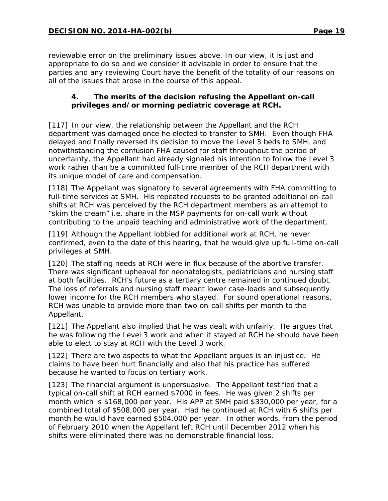reviewable error on the preliminary issues above. In our view, it is just and appropriate to do so and we consider it advisable in order to ensure that the parties and any reviewing Court have the benefit of the totality of our reasons on all of the issues that arose in the course of this appeal.

## **4. The merits of the decision refusing the Appellant on-call privileges and/or morning pediatric coverage at RCH.**

[117] In our view, the relationship between the Appellant and the RCH department was damaged once he elected to transfer to SMH. Even though FHA delayed and finally reversed its decision to move the Level 3 beds to SMH, and notwithstanding the confusion FHA caused for staff throughout the period of uncertainty, the Appellant had already signaled his intention to follow the Level 3 work rather than be a committed full-time member of the RCH department with its unique model of care and compensation.

[118] The Appellant was signatory to several agreements with FHA committing to full-time services at SMH. His repeated requests to be granted additional on-call shifts at RCH was perceived by the RCH department members as an attempt to "skim the cream" i.e. share in the MSP payments for on-call work without contributing to the unpaid teaching and administrative work of the department.

[119] Although the Appellant lobbied for additional work at RCH, he never confirmed, even to the date of this hearing, that he would give up full-time on-call privileges at SMH.

[120] The staffing needs at RCH were in flux because of the abortive transfer. There was significant upheaval for neonatologists, pediatricians and nursing staff at both facilities. RCH's future as a tertiary centre remained in continued doubt. The loss of referrals and nursing staff meant lower case-loads and subsequently lower income for the RCH members who stayed. For sound operational reasons, RCH was unable to provide more than two on-call shifts per month to the Appellant.

[121] The Appellant also implied that he was dealt with unfairly. He argues that he was following the Level 3 work and when it stayed at RCH he should have been able to elect to stay at RCH with the Level 3 work.

[122] There are two aspects to what the Appellant argues is an injustice. He claims to have been hurt financially and also that his practice has suffered because he wanted to focus on tertiary work.

[123] The financial argument is unpersuasive. The Appellant testified that a typical on-call shift at RCH earned \$7000 in fees. He was given 2 shifts per month which is \$168,000 per year. His APP at SMH paid \$330,000 per year, for a combined total of \$508,000 per year. Had he continued at RCH with 6 shifts per month he would have earned \$504,000 per year. In other words, from the period of February 2010 when the Appellant left RCH until December 2012 when his shifts were eliminated there was no demonstrable financial loss.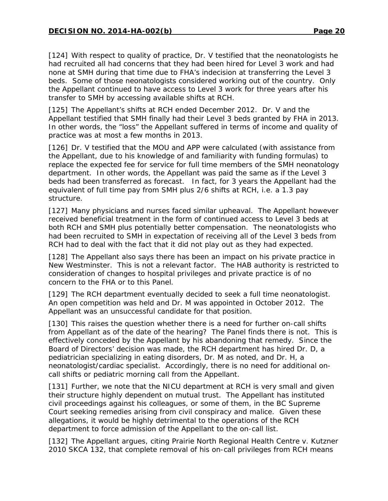[124] With respect to quality of practice, Dr. V testified that the neonatologists he had recruited all had concerns that they had been hired for Level 3 work and had none at SMH during that time due to FHA's indecision at transferring the Level 3 beds. Some of those neonatologists considered working out of the country. Only the Appellant continued to have access to Level 3 work for three years after his transfer to SMH by accessing available shifts at RCH.

[125] The Appellant's shifts at RCH ended December 2012. Dr. V and the Appellant testified that SMH finally had their Level 3 beds granted by FHA in 2013. In other words, the "loss" the Appellant suffered in terms of income and quality of practice was at most a few months in 2013.

[126] Dr. V testified that the MOU and APP were calculated (with assistance from the Appellant, due to his knowledge of and familiarity with funding formulas) to replace the expected fee for service for full time members of the SMH neonatology department. In other words, the Appellant was paid the same as if the Level 3 beds had been transferred as forecast. In fact, for 3 years the Appellant had the equivalent of full time pay from SMH plus 2/6 shifts at RCH, i.e. a 1.3 pay structure.

[127] Many physicians and nurses faced similar upheaval. The Appellant however received beneficial treatment in the form of continued access to Level 3 beds at both RCH and SMH plus potentially better compensation. The neonatologists who had been recruited to SMH in expectation of receiving all of the Level 3 beds from RCH had to deal with the fact that it did not play out as they had expected.

[128] The Appellant also says there has been an impact on his private practice in New Westminster. This is not a relevant factor. The HAB authority is restricted to consideration of changes to hospital privileges and private practice is of no concern to the FHA or to this Panel.

[129] The RCH department eventually decided to seek a full time neonatologist. An open competition was held and Dr. M was appointed in October 2012. The Appellant was an unsuccessful candidate for that position.

[130] This raises the question whether there is a need for further on-call shifts from Appellant as of the date of the hearing? The Panel finds there is not. This is effectively conceded by the Appellant by his abandoning that remedy. Since the Board of Directors' decision was made, the RCH department has hired Dr. D, a pediatrician specializing in eating disorders, Dr. M as noted, and Dr. H, a neonatologist/cardiac specialist. Accordingly, there is no need for additional oncall shifts or pediatric morning call from the Appellant.

[131] Further, we note that the NICU department at RCH is very small and given their structure highly dependent on mutual trust. The Appellant has instituted civil proceedings against his colleagues, or some of them, in the BC Supreme Court seeking remedies arising from civil conspiracy and malice. Given these allegations, it would be highly detrimental to the operations of the RCH department to force admission of the Appellant to the on-call list.

[132] The Appellant argues, citing *Prairie North Regional Health Centre v. Kutzner* 2010 SKCA 132, that complete removal of his on-call privileges from RCH means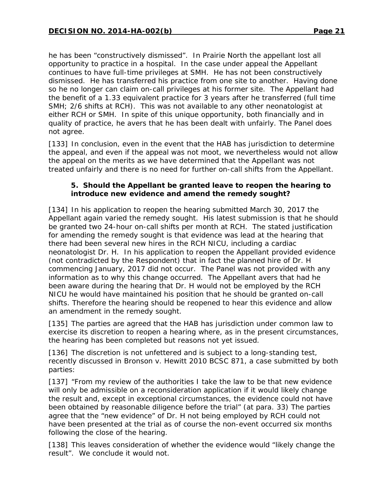he has been "constructively dismissed". In *Prairie North* the appellant lost all opportunity to practice in a hospital. In the case under appeal the Appellant continues to have full-time privileges at SMH. He has not been constructively dismissed. He has transferred his practice from one site to another. Having done so he no longer can claim on-call privileges at his former site. The Appellant had the benefit of a 1.33 equivalent practice for 3 years after he transferred (full time SMH; 2/6 shifts at RCH). This was not available to any other neonatologist at either RCH or SMH. In spite of this unique opportunity, both financially and in quality of practice, he avers that he has been dealt with unfairly. The Panel does not agree.

[133] In conclusion, even in the event that the HAB has jurisdiction to determine the appeal, and even if the appeal was not moot, we nevertheless would not allow the appeal on the merits as we have determined that the Appellant was not treated unfairly and there is no need for further on-call shifts from the Appellant.

#### **5. Should the Appellant be granted leave to reopen the hearing to introduce new evidence and amend the remedy sought?**

[134] In his application to reopen the hearing submitted March 30, 2017 the Appellant again varied the remedy sought. His latest submission is that he should be granted two 24-hour on-call shifts per month at RCH. The stated justification for amending the remedy sought is that evidence was lead at the hearing that there had been several new hires in the RCH NICU, including a cardiac neonatologist Dr. H. In his application to reopen the Appellant provided evidence (not contradicted by the Respondent) that in fact the planned hire of Dr. H commencing January, 2017 did not occur. The Panel was not provided with any information as to why this change occurred. The Appellant avers that had he been aware during the hearing that Dr. H would not be employed by the RCH NICU he would have maintained his position that he should be granted on-call shifts. Therefore the hearing should be reopened to hear this evidence and allow an amendment in the remedy sought.

[135] The parties are agreed that the HAB has jurisdiction under common law to exercise its discretion to reopen a hearing where, as in the present circumstances, the hearing has been completed but reasons not yet issued.

[136] The discretion is not unfettered and is subject to a long-standing test, recently discussed in *Bronson v. Hewitt* 2010 BCSC 871, a case submitted by both parties:

[137] "From my review of the authorities I take the law to be that new evidence will only be admissible on a reconsideration application if it would likely change the result and, except in exceptional circumstances, the evidence could not have been obtained by reasonable diligence before the trial" (at para. 33) The parties agree that the "new evidence" of Dr. H not being employed by RCH could not have been presented at the trial as of course the non-event occurred six months following the close of the hearing.

[138] This leaves consideration of whether the evidence would "likely change the result". We conclude it would not.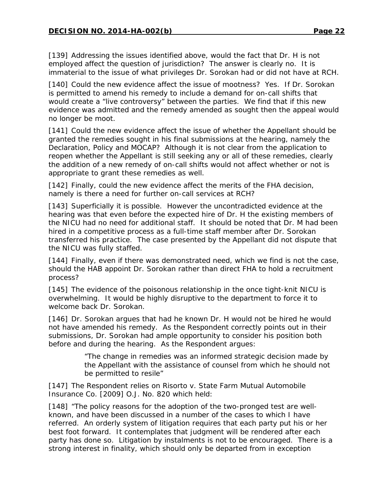[139] Addressing the issues identified above, would the fact that Dr. H is not employed affect the question of jurisdiction? The answer is clearly no. It is immaterial to the issue of what privileges Dr. Sorokan had or did not have at RCH.

[140] Could the new evidence affect the issue of mootness? Yes. If Dr. Sorokan is permitted to amend his remedy to include a demand for on-call shifts that would create a "live controversy" between the parties. We find that if this new evidence was admitted and the remedy amended as sought then the appeal would no longer be moot.

[141] Could the new evidence affect the issue of whether the Appellant should be granted the remedies sought in his final submissions at the hearing, namely the Declaration, Policy and MOCAP? Although it is not clear from the application to reopen whether the Appellant is still seeking any or all of these remedies, clearly the addition of a new remedy of on-call shifts would not affect whether or not is appropriate to grant these remedies as well.

[142] Finally, could the new evidence affect the merits of the FHA decision, namely is there a need for further on-call services at RCH?

[143] Superficially it is possible. However the uncontradicted evidence at the hearing was that even before the expected hire of Dr. H the existing members of the NICU had no need for additional staff. It should be noted that Dr. M had been hired in a competitive process as a full-time staff member after Dr. Sorokan transferred his practice. The case presented by the Appellant did not dispute that the NICU was fully staffed.

[144] Finally, even if there was demonstrated need, which we find is not the case, should the HAB appoint Dr. Sorokan rather than direct FHA to hold a recruitment process?

[145] The evidence of the poisonous relationship in the once tight-knit NICU is overwhelming. It would be highly disruptive to the department to force it to welcome back Dr. Sorokan.

[146] Dr. Sorokan argues that had he known Dr. H would not be hired he would not have amended his remedy. As the Respondent correctly points out in their submissions, Dr. Sorokan had ample opportunity to consider his position both before and during the hearing. As the Respondent argues:

> "The change in remedies was an informed strategic decision made by the Appellant with the assistance of counsel from which he should not be permitted to resile"

[147] The Respondent relies on *Risorto v. State Farm Mutual Automobile Insurance Co.* [2009] O.J. No. 820 which held:

[148] "The policy reasons for the adoption of the two-pronged test are wellknown, and have been discussed in a number of the cases to which I have referred. An orderly system of litigation requires that each party put his or her best foot forward. It contemplates that judgment will be rendered after each party has done so. Litigation by instalments is not to be encouraged. There is a strong interest in finality, which should only be departed from in exception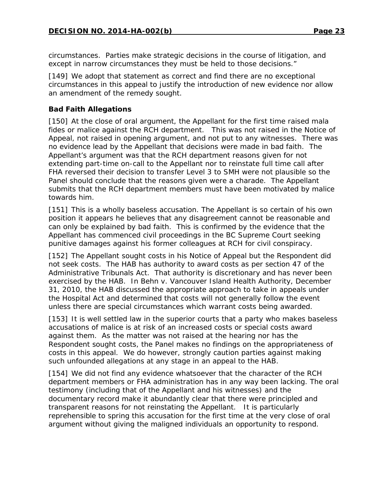circumstances. Parties make strategic decisions in the course of litigation, and except in narrow circumstances they must be held to those decisions."

[149] We adopt that statement as correct and find there are no exceptional circumstances in this appeal to justify the introduction of new evidence nor allow an amendment of the remedy sought.

## **Bad Faith Allegations**

[150] At the close of oral argument, the Appellant for the first time raised *mala fides* or malice against the RCH department. This was not raised in the Notice of Appeal, not raised in opening argument, and not put to any witnesses. There was no evidence lead by the Appellant that decisions were made in bad faith. The Appellant's argument was that the RCH department reasons given for not extending part-time on-call to the Appellant nor to reinstate full time call after FHA reversed their decision to transfer Level 3 to SMH were not plausible so the Panel should conclude that the reasons given were a charade. The Appellant submits that the RCH department members must have been motivated by malice towards him.

[151] This is a wholly baseless accusation. The Appellant is so certain of his own position it appears he believes that any disagreement cannot be reasonable and can only be explained by bad faith. This is confirmed by the evidence that the Appellant has commenced civil proceedings in the BC Supreme Court seeking punitive damages against his former colleagues at RCH for civil conspiracy.

[152] The Appellant sought costs in his Notice of Appeal but the Respondent did not seek costs. The HAB has authority to award costs as per section 47 of the *Administrative Tribunals Act*. That authority is discretionary and has never been exercised by the HAB. In *Behn v. Vancouver Island Health Authority*, December 31, 2010, the HAB discussed the appropriate approach to take in appeals under the *Hospital Act* and determined that costs will not generally follow the event unless there are special circumstances which warrant costs being awarded.

[153] It is well settled law in the superior courts that a party who makes baseless accusations of malice is at risk of an increased costs or special costs award against them. As the matter was not raised at the hearing nor has the Respondent sought costs, the Panel makes no findings on the appropriateness of costs in this appeal. We do however, strongly caution parties against making such unfounded allegations at any stage in an appeal to the HAB.

[154] We did not find any evidence whatsoever that the character of the RCH department members or FHA administration has in any way been lacking. The oral testimony (including that of the Appellant and his witnesses) and the documentary record make it abundantly clear that there were principled and transparent reasons for not reinstating the Appellant. It is particularly reprehensible to spring this accusation for the first time at the very close of oral argument without giving the maligned individuals an opportunity to respond.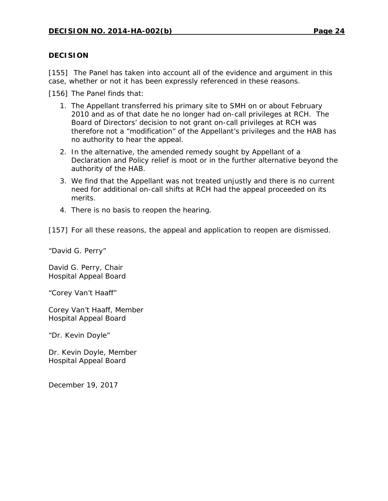#### **DECISION**

[155] The Panel has taken into account all of the evidence and argument in this case, whether or not it has been expressly referenced in these reasons.

[156] The Panel finds that:

- 1. The Appellant transferred his primary site to SMH on or about February 2010 and as of that date he no longer had on-call privileges at RCH. The Board of Directors' decision to not grant on-call privileges at RCH was therefore not a "modification" of the Appellant's privileges and the HAB has no authority to hear the appeal.
- 2. In the alternative, the amended remedy sought by Appellant of a Declaration and Policy relief is moot or in the further alternative beyond the authority of the HAB.
- 3. We find that the Appellant was not treated unjustly and there is no current need for additional on-call shifts at RCH had the appeal proceeded on its merits.
- 4. There is no basis to reopen the hearing.

[157] For all these reasons, the appeal and application to reopen are dismissed.

"David G. Perry"

David G. Perry, Chair Hospital Appeal Board

"Corey Van't Haaff"

Corey Van't Haaff, Member Hospital Appeal Board

"Dr. Kevin Doyle"

Dr. Kevin Doyle, Member Hospital Appeal Board

December 19, 2017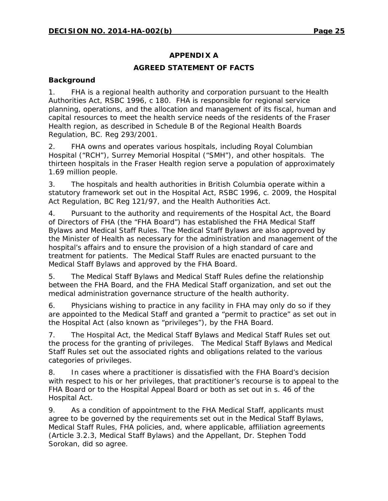## **APPENDIX A**

## **AGREED STATEMENT OF FACTS**

## **Background**

1. FHA is a regional health authority and corporation pursuant to the Health Authorities Act, RSBC 1996, c 180. FHA is responsible for regional service planning, operations, and the allocation and management of its fiscal, human and capital resources to meet the health service needs of the residents of the Fraser Health region, as described in Schedule B of the Regional Health Boards Regulation, BC. Reg 293/2001.

2. FHA owns and operates various hospitals, including Royal Columbian Hospital ("RCH"), Surrey Memorial Hospital ("SMH"), and other hospitals. The thirteen hospitals in the Fraser Health region serve a population of approximately 1.69 million people.

3. The hospitals and health authorities in British Columbia operate within a statutory framework set out in the Hospital Act, RSBC 1996, c. 2009, the Hospital Act Regulation, BC Reg 121/97, and the *Health Authorities Act*.

4. Pursuant to the authority and requirements of the *Hospital Act*, the Board of Directors of FHA (the "FHA Board") has established the FHA Medical Staff Bylaws and Medical Staff Rules. The Medical Staff Bylaws are also approved by the Minister of Health as necessary for the administration and management of the hospital's affairs and to ensure the provision of a high standard of care and treatment for patients. The Medical Staff Rules are enacted pursuant to the Medical Staff Bylaws and approved by the FHA Board.

5. The Medical Staff Bylaws and Medical Staff Rules define the relationship between the FHA Board, and the FHA Medical Staff organization, and set out the medical administration governance structure of the health authority.

6. Physicians wishing to practice in any facility in FHA may only do so if they are appointed to the Medical Staff and granted a "permit to practice" as set out in the Hospital Act (also known as "privileges"), by the FHA Board.

7. The *Hospital Act*, the Medical Staff Bylaws and Medical Staff Rules set out the process for the granting of privileges. The Medical Staff Bylaws and Medical Staff Rules set out the associated rights and obligations related to the various categories of privileges.

8. In cases where a practitioner is dissatisfied with the FHA Board's decision with respect to his or her privileges, that practitioner's recourse is to appeal to the FHA Board or to the Hospital Appeal Board or both as set out in s. 46 of the *Hospital Act*.

9. As a condition of appointment to the FHA Medical Staff, applicants must agree to be governed by the requirements set out in the Medical Staff Bylaws, Medical Staff Rules, FHA policies, and, where applicable, affiliation agreements (Article 3.2.3, Medical Staff Bylaws) and the Appellant, Dr. Stephen Todd Sorokan, did so agree.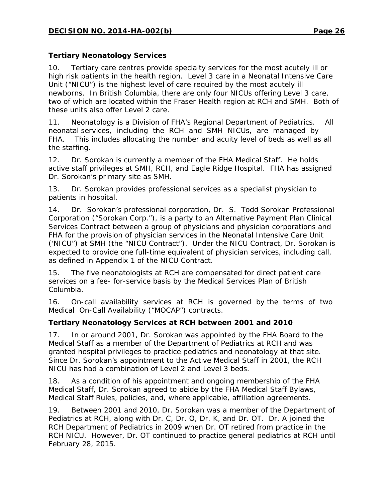## **Tertiary Neonatology Services**

10. Tertiary care centres provide specialty services for the most acutely ill or high risk patients in the health region. Level 3 care in a Neonatal Intensive Care Unit ("NICU") is the highest level of care required by the most acutely ill newborns. In British Columbia, there are only four NICUs offering Level 3 care, two of which are located within the Fraser Health region at RCH and SMH. Both of these units also offer Level 2 care.

11. Neonatology is a Division of FHA's Regional Department of Pediatrics. All neonatal services, including the RCH and SMH NICUs, are managed by FHA. This includes allocating the number and acuity level of beds as well as all the staffing.

12. Dr. Sorokan is currently a member of the FHA Medical Staff. He holds active staff privileges at SMH, RCH, and Eagle Ridge Hospital. FHA has assigned Dr. Sorokan's primary site as SMH.

13. Dr. Sorokan provides professional services as a specialist physician to patients in hospital.

14. Dr. Sorokan's professional corporation, Dr. S. Todd Sorokan Professional Corporation ("Sorokan Corp."), is a party to an Alternative Payment Plan Clinical Services Contract between a group of physicians and physician corporations and FHA for the provision of physician services in the Neonatal Intensive Care Unit ('NICU") at SMH (the "NICU Contract"). Under the NICU Contract, Dr. Sorokan is expected to provide one full-time equivalent of physician services, including call, as defined in Appendix 1 of the NICU Contract.

15. The five neonatologists at RCH are compensated for direct patient care services on a fee- for-service basis by the Medical Services Plan of British Columbia.

16. On-call availability services at RCH is governed by the terms of two Medical On-Call Availability ("MOCAP") contracts.

## **Tertiary Neonatology Services at RCH between 2001 and 2010**

17. In or around 2001, Dr. Sorokan was appointed by the FHA Board to the Medical Staff as a member of the Department of Pediatrics at RCH and was granted hospital privileges to practice pediatrics and neonatology at that site. Since Dr. Sorokan's appointment to the Active Medical Staff in 2001, the RCH NICU has had a combination of Level 2 and Level 3 beds.

18. As a condition of his appointment and ongoing membership of the FHA Medical Staff, Dr. Sorokan agreed to abide by the FHA Medical Staff Bylaws, Medical Staff Rules, policies, and, where applicable, affiliation agreements.

19. Between 2001 and 2010, Dr. Sorokan was a member of the Department of Pediatrics at RCH, along with Dr. C, Dr. O, Dr. K, and Dr. OT. Dr. A joined the RCH Department of Pediatrics in 2009 when Dr. OT retired from practice in the RCH NICU. However, Dr. OT continued to practice general pediatrics at RCH until February 28, 2015.